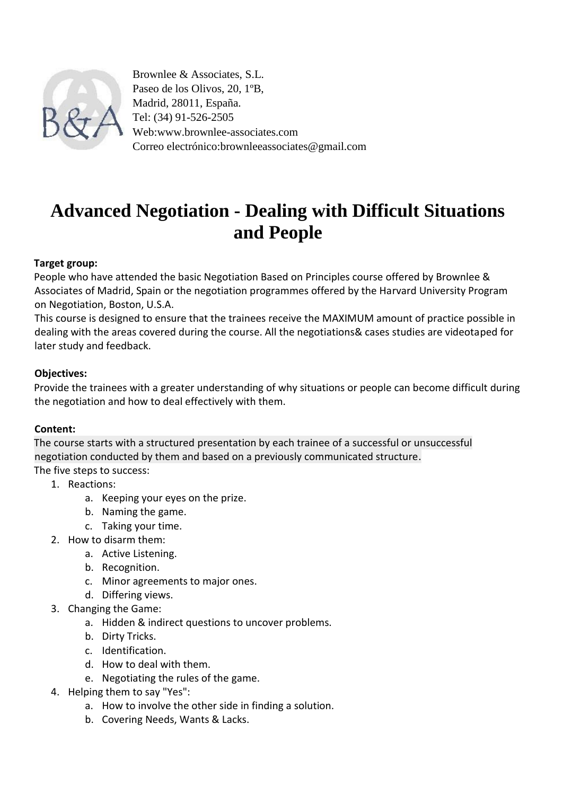

Brownlee & Associates, S.L. Paseo de los Olivos, 20, 1ºB, Madrid, 28011, España. Tel: (34) 91-526-2505 Web:www.brownlee-associates.com Correo electrónico:brownleeassociates@gmail.com

# **Advanced Negotiation - Dealing with Difficult Situations and People**

#### **Target group:**

People who have attended the basic Negotiation Based on Principles course offered by Brownlee & Associates of Madrid, Spain or the negotiation programmes offered by the Harvard University Program on Negotiation, Boston, U.S.A.

This course is designed to ensure that the trainees receive the MAXIMUM amount of practice possible in dealing with the areas covered during the course. All the negotiations& cases studies are videotaped for later study and feedback.

#### **Objectives:**

Provide the trainees with a greater understanding of why situations or people can become difficult during the negotiation and how to deal effectively with them.

## **Content:**

The course starts with a structured presentation by each trainee of a successful or unsuccessful negotiation conducted by them and based on a previously communicated structure. The five steps to success:

- 1. Reactions:
	- a. Keeping your eyes on the prize.
	- b. Naming the game.
	- c. Taking your time.
- 2. How to disarm them:
	- a. Active Listening.
	- b. Recognition.
	- c. Minor agreements to major ones.
	- d. Differing views.
- 3. Changing the Game:
	- a. Hidden & indirect questions to uncover problems.
	- b. Dirty Tricks.
	- c. Identification.
	- d. How to deal with them.
	- e. Negotiating the rules of the game.
- 4. Helping them to say "Yes":
	- a. How to involve the other side in finding a solution.
	- b. Covering Needs, Wants & Lacks.